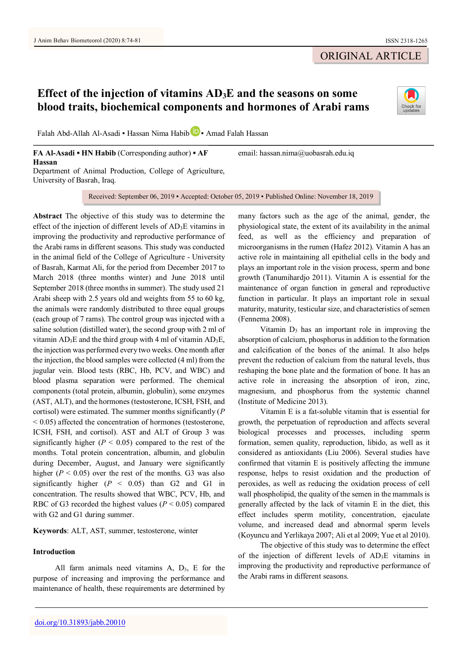University of Basrah, Iraq.

# ORIGINAL ARTICLE

# **Effect of the injection of vitamins AD3E and the seasons on some blood traits, biochemical components and hormones of Arabi rams**



Falah Abd-Allah Al-Asadi • Hassan Nima Habib **D** • Amad Falah Hassan

**FA Al-Asadi ▪ HN Habib** (Corresponding author) **▪ AF Hassan** Department of Animal Production, College of Agriculture, email: hassan.nima@uobasrah.edu.iq

Received: September 06, 2019 ▪ Accepted: October 05, 2019 ▪ Published Online: November 18, 2019

**Abstract** The objective of this study was to determine the effect of the injection of different levels of  $AD_3E$  vitamins in improving the productivity and reproductive performance of the Arabi rams in different seasons. This study was conducted in the animal field of the College of Agriculture - University of Basrah, Karmat Ali, for the period from December 2017 to March 2018 (three months winter) and June 2018 until September 2018 (three months in summer). The study used 21 Arabi sheep with 2.5 years old and weights from 55 to 60 kg, the animals were randomly distributed to three equal groups (each group of 7 rams). The control group was injected with a saline solution (distilled water), the second group with 2 ml of vitamin  $AD_3E$  and the third group with 4 ml of vitamin  $AD_3E$ , the injection was performed every two weeks. One month after the injection, the blood samples were collected (4 ml) from the jugular vein. Blood tests (RBC, Hb, PCV, and WBC) and blood plasma separation were performed. The chemical components (total protein, albumin, globulin), some enzymes (AST, ALT), and the hormones (testosterone, ICSH, FSH, and cortisol) were estimated. The summer months significantly (*P*   $\leq$  0.05) affected the concentration of hormones (testosterone, ICSH, FSH, and cortisol). AST and ALT of Group 3 was significantly higher  $(P < 0.05)$  compared to the rest of the months. Total protein concentration, albumin, and globulin during December, August, and January were significantly higher  $(P < 0.05)$  over the rest of the months. G3 was also significantly higher  $(P < 0.05)$  than G<sub>2</sub> and G<sub>1</sub> in concentration. The results showed that WBC, PCV, Hb, and RBC of G3 recorded the highest values ( $P < 0.05$ ) compared with G2 and G1 during summer.

**Keywords**: ALT, AST, summer, testosterone, winter

## **Introduction**

All farm animals need vitamins  $A$ ,  $D_3$ ,  $E$  for the purpose of increasing and improving the performance and maintenance of health, these requirements are determined by

many factors such as the age of the animal, gender, the physiological state, the extent of its availability in the animal feed, as well as the efficiency and preparation of microorganisms in the rumen (Hafez 2012). Vitamin A has an active role in maintaining all epithelial cells in the body and plays an important role in the vision process, sperm and bone growth (Tanumihardjo 2011). Vitamin A is essential for the maintenance of organ function in general and reproductive function in particular. It plays an important role in sexual maturity, maturity, testicular size, and characteristics of semen (Fennema 2008).

Vitamin  $D_3$  has an important role in improving the absorption of calcium, phosphorus in addition to the formation and calcification of the bones of the animal. It also helps prevent the reduction of calcium from the natural levels, thus reshaping the bone plate and the formation of bone. It has an active role in increasing the absorption of iron, zinc, magnesium, and phosphorus from the systemic channel (Institute of Medicine 2013).

Vitamin E is a fat-soluble vitamin that is essential for growth, the perpetuation of reproduction and affects several biological processes and processes, including sperm formation, semen quality, reproduction, libido, as well as it considered as antioxidants (Liu 2006). Several studies have confirmed that vitamin E is positively affecting the immune response, helps to resist oxidation and the production of peroxides, as well as reducing the oxidation process of cell wall phospholipid, the quality of the semen in the mammals is generally affected by the lack of vitamin E in the diet, this effect includes sperm motility, concentration, ejaculate volume, and increased dead and abnormal sperm levels (Koyuncu and Yerlikaya 2007; Ali et al 2009; Yue et al 2010).

The objective of this study was to determine the effect of the injection of different levels of AD3E vitamins in improving the productivity and reproductive performance of the Arabi rams in different seasons.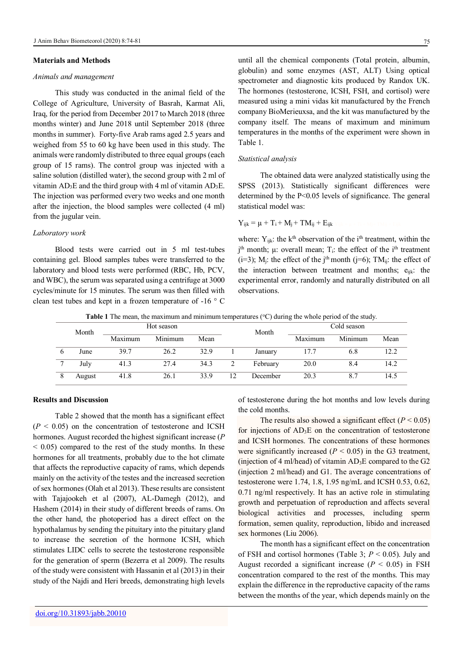#### **Materials and Methods**

# *Animals and management*

This study was conducted in the animal field of the College of Agriculture, University of Basrah, Karmat Ali, Iraq, for the period from December 2017 to March 2018 (three months winter) and June 2018 until September 2018 (three months in summer). Forty-five Arab rams aged 2.5 years and weighed from 55 to 60 kg have been used in this study. The animals were randomly distributed to three equal groups (each group of 15 rams). The control group was injected with a saline solution (distilled water), the second group with 2 ml of vitamin  $AD_3E$  and the third group with 4 ml of vitamin  $AD_3E$ . The injection was performed every two weeks and one month after the injection, the blood samples were collected (4 ml) from the jugular vein.

#### *Laboratory work*

Blood tests were carried out in 5 ml test-tubes containing gel. Blood samples tubes were transferred to the laboratory and blood tests were performed (RBC, Hb, PCV, and WBC), the serum was separated using a centrifuge at 3000 cycles/minute for 15 minutes. The serum was then filled with clean test tubes and kept in a frozen temperature of -16 ° C

until all the chemical components (Total protein, albumin, globulin) and some enzymes (AST, ALT) Using optical spectrometer and diagnostic kits produced by Randox UK. The hormones (testosterone, ICSH, FSH, and cortisol) were measured using a mini vidas kit manufactured by the French company BioMerieuxsa, and the kit was manufactured by the company itself. The means of maximum and minimum temperatures in the months of the experiment were shown in Table 1.

#### *Statistical analysis*

The obtained data were analyzed statistically using the SPSS (2013). Statistically significant differences were determined by the P<0.05 levels of significance. The general statistical model was:

$$
Y_{ijk} = \mu + T_i + M_j + TM_{ij} + E_{ijk}
$$

where:  $Y_{ijk}$ : the k<sup>th</sup> observation of the i<sup>th</sup> treatment, within the  $j<sup>th</sup>$  month;  $\mu$ : overall mean;  $T_i$ : the effect of the i<sup>th</sup> treatment (i=3); M<sub>i</sub>: the effect of the j<sup>th</sup> month (j=6); TM<sub>ij</sub>: the effect of the interaction between treatment and months;  $e_{ijk}$ : the experimental error, randomly and naturally distributed on all observations.

**Table 1** The mean, the maximum and minimum temperatures (°C) during the whole period of the study.

| Month  | Hot season |         |      |    | Month    |         | Cold season |      |
|--------|------------|---------|------|----|----------|---------|-------------|------|
|        | Maximum    | Minimum | Mean |    |          | Maximum | Minimum     | Mean |
| June   | 39.7       | 26.2    | 32.9 |    | January  | 17.7    | 6.8         | 12.2 |
| July   | 41.3       | 27.4    | 34.3 |    | February | 20.0    | 8.4         | 14.2 |
| August | 41.8       | 26.1    | 33.9 | 12 | December | 20.3    |             | 14.5 |

# **Results and Discussion**

Table 2 showed that the month has a significant effect  $(P < 0.05)$  on the concentration of testosterone and ICSH hormones. August recorded the highest significant increase (*P*  $\leq$  0.05) compared to the rest of the study months. In these hormones for all treatments, probably due to the hot climate that affects the reproductive capacity of rams, which depends mainly on the activity of the testes and the increased secretion of sex hormones (Olah et al 2013). These results are consistent with Tajajookeh et al (2007), AL-Damegh (2012), and Hashem (2014) in their study of different breeds of rams. On the other hand, the photoperiod has a direct effect on the hypothalamus by sending the pituitary into the pituitary gland to increase the secretion of the hormone ICSH, which stimulates LIDC cells to secrete the testosterone responsible for the generation of sperm (Bezerra et al 2009). The results of the study were consistent with Hassanin et al (2013) in their study of the Najdi and Heri breeds, demonstrating high levels of testosterone during the hot months and low levels during the cold months.

The results also showed a significant effect  $(P < 0.05)$ for injections of  $AD_3E$  on the concentration of testosterone and ICSH hormones. The concentrations of these hormones were significantly increased  $(P < 0.05)$  in the G3 treatment, (injection of 4 ml/head) of vitamin  $AD_3E$  compared to the G2 (injection 2 ml/head) and G1. The average concentrations of testosterone were 1.74, 1.8, 1.95 ng/mL and ICSH 0.53, 0.62, 0.71 ng/ml respectively. It has an active role in stimulating growth and perpetuation of reproduction and affects several biological activities and processes, including sperm formation, semen quality, reproduction, libido and increased sex hormones (Liu 2006).

The month has a significant effect on the concentration of FSH and cortisol hormones (Table 3; *P* < 0.05). July and August recorded a significant increase  $(P < 0.05)$  in FSH concentration compared to the rest of the months. This may explain the difference in the reproductive capacity of the rams between the months of the year, which depends mainly on the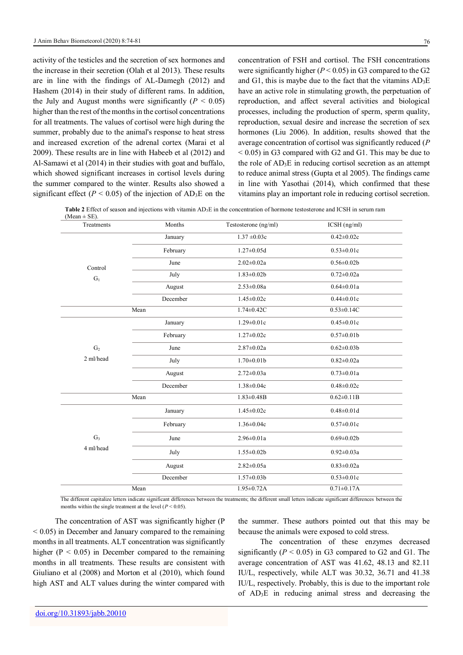activity of the testicles and the secretion of sex hormones and the increase in their secretion (Olah et al 2013). These results are in line with the findings of AL-Damegh (2012) and Hashem (2014) in their study of different rams. In addition, the July and August months were significantly  $(P < 0.05)$ higher than the rest of the months in the cortisol concentrations for all treatments. The values of cortisol were high during the summer, probably due to the animal's response to heat stress and increased excretion of the adrenal cortex (Marai et al 2009). These results are in line with Habeeb et al (2012) and Al-Samawi et al (2014) in their studies with goat and buffalo, which showed significant increases in cortisol levels during the summer compared to the winter. Results also showed a significant effect ( $P < 0.05$ ) of the injection of AD<sub>3</sub>E on the

concentration of FSH and cortisol. The FSH concentrations were significantly higher  $(P < 0.05)$  in G3 compared to the G2 and G1, this is maybe due to the fact that the vitamins AD3E have an active role in stimulating growth, the perpetuation of reproduction, and affect several activities and biological processes, including the production of sperm, sperm quality, reproduction, sexual desire and increase the secretion of sex hormones (Liu 2006). In addition, results showed that the average concentration of cortisol was significantly reduced (*P*  $< 0.05$ ) in G3 compared with G2 and G1. This may be due to the role of AD3E in reducing cortisol secretion as an attempt to reduce animal stress (Gupta et al 2005). The findings came in line with Yasothai (2014), which confirmed that these vitamins play an important role in reducing cortisol secretion.

**Table 2** Effect of season and injections with vitamin AD3E in the concentration of hormone testosterone and ICSH in serum ram

| $1.37 \pm 0.03c$<br>$0.42 \pm 0.02c$<br>January<br>February<br>$1.27 \pm 0.05d$<br>$0.53 \pm 0.01c$<br>$2.02 \pm 0.02a$<br>$0.56 \pm 0.02b$<br>June<br>Control<br>July<br>$1.83 \pm 0.02b$<br>$0.72 \pm 0.02a$<br>$G_1$<br>$2.53 \pm 0.08a$<br>$0.64 \pm 0.01a$<br>August<br>December<br>$1.45 \pm 0.02c$<br>$0.44 \pm 0.01c$<br>$1.74 \pm 0.42C$<br>$0.53 \pm 0.14C$<br>Mean<br>$1.29 \pm 0.01c$<br>$0.45 \pm 0.01c$<br>January<br>February<br>$1.27 \pm 0.02c$<br>$0.57 \pm 0.01$ b<br>$2.87 \pm 0.02a$<br>$0.62 \pm 0.03 b$<br>G <sub>2</sub><br>June<br>2 ml/head<br>$1.70 \pm 0.01$<br>$0.82 \pm 0.02a$<br>July<br>$2.72 \pm 0.03a$<br>$0.73 \pm 0.01a$<br>August<br>$1.38 \pm 0.04c$<br>$0.48 \pm 0.02c$<br>December<br>$1.83 \pm 0.48 B$<br>$0.62 \pm 0.11B$<br>Mean<br>$1.45 \pm 0.02c$<br>$0.48 \pm 0.01d$<br>January<br>February<br>$1.36 \pm 0.04c$<br>$0.57 \pm 0.01c$<br>G <sub>3</sub><br>$2.96 \pm 0.01a$<br>$0.69 \pm 0.02b$<br>June<br>4 ml/head<br>$1.55 \pm 0.02b$<br>$0.92 \pm 0.03a$<br>July<br>$2.82 \pm 0.05a$<br>$0.83 \pm 0.02a$<br>August<br>December<br>$1.57 \pm 0.03 b$<br>$0.53 \pm 0.01c$<br>$1.95 \pm 0.72$ A<br>$0.71 \pm 0.17$ A<br>Mean | $(Mean \pm SE)$ . |        |                      |              |
|----------------------------------------------------------------------------------------------------------------------------------------------------------------------------------------------------------------------------------------------------------------------------------------------------------------------------------------------------------------------------------------------------------------------------------------------------------------------------------------------------------------------------------------------------------------------------------------------------------------------------------------------------------------------------------------------------------------------------------------------------------------------------------------------------------------------------------------------------------------------------------------------------------------------------------------------------------------------------------------------------------------------------------------------------------------------------------------------------------------------------------------------------------------------------|-------------------|--------|----------------------|--------------|
|                                                                                                                                                                                                                                                                                                                                                                                                                                                                                                                                                                                                                                                                                                                                                                                                                                                                                                                                                                                                                                                                                                                                                                            | Treatments        | Months | Testosterone (ng/ml) | ICSH (ng/ml) |
|                                                                                                                                                                                                                                                                                                                                                                                                                                                                                                                                                                                                                                                                                                                                                                                                                                                                                                                                                                                                                                                                                                                                                                            |                   |        |                      |              |
|                                                                                                                                                                                                                                                                                                                                                                                                                                                                                                                                                                                                                                                                                                                                                                                                                                                                                                                                                                                                                                                                                                                                                                            |                   |        |                      |              |
|                                                                                                                                                                                                                                                                                                                                                                                                                                                                                                                                                                                                                                                                                                                                                                                                                                                                                                                                                                                                                                                                                                                                                                            |                   |        |                      |              |
|                                                                                                                                                                                                                                                                                                                                                                                                                                                                                                                                                                                                                                                                                                                                                                                                                                                                                                                                                                                                                                                                                                                                                                            |                   |        |                      |              |
|                                                                                                                                                                                                                                                                                                                                                                                                                                                                                                                                                                                                                                                                                                                                                                                                                                                                                                                                                                                                                                                                                                                                                                            |                   |        |                      |              |
|                                                                                                                                                                                                                                                                                                                                                                                                                                                                                                                                                                                                                                                                                                                                                                                                                                                                                                                                                                                                                                                                                                                                                                            |                   |        |                      |              |
|                                                                                                                                                                                                                                                                                                                                                                                                                                                                                                                                                                                                                                                                                                                                                                                                                                                                                                                                                                                                                                                                                                                                                                            |                   |        |                      |              |
|                                                                                                                                                                                                                                                                                                                                                                                                                                                                                                                                                                                                                                                                                                                                                                                                                                                                                                                                                                                                                                                                                                                                                                            |                   |        |                      |              |
|                                                                                                                                                                                                                                                                                                                                                                                                                                                                                                                                                                                                                                                                                                                                                                                                                                                                                                                                                                                                                                                                                                                                                                            |                   |        |                      |              |
|                                                                                                                                                                                                                                                                                                                                                                                                                                                                                                                                                                                                                                                                                                                                                                                                                                                                                                                                                                                                                                                                                                                                                                            |                   |        |                      |              |
|                                                                                                                                                                                                                                                                                                                                                                                                                                                                                                                                                                                                                                                                                                                                                                                                                                                                                                                                                                                                                                                                                                                                                                            |                   |        |                      |              |
|                                                                                                                                                                                                                                                                                                                                                                                                                                                                                                                                                                                                                                                                                                                                                                                                                                                                                                                                                                                                                                                                                                                                                                            |                   |        |                      |              |
|                                                                                                                                                                                                                                                                                                                                                                                                                                                                                                                                                                                                                                                                                                                                                                                                                                                                                                                                                                                                                                                                                                                                                                            |                   |        |                      |              |
|                                                                                                                                                                                                                                                                                                                                                                                                                                                                                                                                                                                                                                                                                                                                                                                                                                                                                                                                                                                                                                                                                                                                                                            |                   |        |                      |              |
|                                                                                                                                                                                                                                                                                                                                                                                                                                                                                                                                                                                                                                                                                                                                                                                                                                                                                                                                                                                                                                                                                                                                                                            |                   |        |                      |              |
|                                                                                                                                                                                                                                                                                                                                                                                                                                                                                                                                                                                                                                                                                                                                                                                                                                                                                                                                                                                                                                                                                                                                                                            |                   |        |                      |              |
|                                                                                                                                                                                                                                                                                                                                                                                                                                                                                                                                                                                                                                                                                                                                                                                                                                                                                                                                                                                                                                                                                                                                                                            |                   |        |                      |              |
|                                                                                                                                                                                                                                                                                                                                                                                                                                                                                                                                                                                                                                                                                                                                                                                                                                                                                                                                                                                                                                                                                                                                                                            |                   |        |                      |              |
|                                                                                                                                                                                                                                                                                                                                                                                                                                                                                                                                                                                                                                                                                                                                                                                                                                                                                                                                                                                                                                                                                                                                                                            |                   |        |                      |              |
|                                                                                                                                                                                                                                                                                                                                                                                                                                                                                                                                                                                                                                                                                                                                                                                                                                                                                                                                                                                                                                                                                                                                                                            |                   |        |                      |              |
|                                                                                                                                                                                                                                                                                                                                                                                                                                                                                                                                                                                                                                                                                                                                                                                                                                                                                                                                                                                                                                                                                                                                                                            |                   |        |                      |              |

The different capitalize letters indicate significant differences between the treatments; the different small letters indicate significant differences between the months within the single treatment at the level  $(P < 0.05)$ .

The concentration of AST was significantly higher (P  $< 0.05$ ) in December and January compared to the remaining months in all treatments. ALT concentration was significantly higher ( $P < 0.05$ ) in December compared to the remaining months in all treatments. These results are consistent with Giuliano et al (2008) and Morton et al (2010), which found high AST and ALT values during the winter compared with

the summer. These authors pointed out that this may be because the animals were exposed to cold stress.

The concentration of these enzymes decreased significantly  $(P < 0.05)$  in G3 compared to G2 and G1. The average concentration of AST was 41.62, 48.13 and 82.11 IU/L, respectively, while ALT was 30.32, 36.71 and 41.38 IU/L, respectively. Probably, this is due to the important role of AD3E in reducing animal stress and decreasing the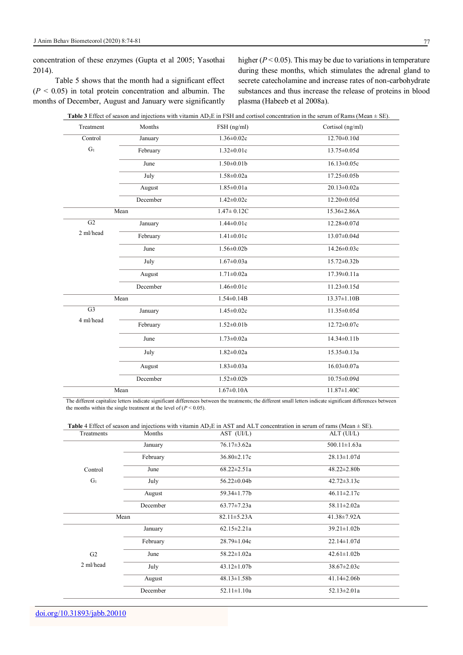concentration of these enzymes (Gupta et al 2005; Yasothai 2014).

Table 5 shows that the month had a significant effect  $(P \leq 0.05)$  in total protein concentration and albumin. The months of December, August and January were significantly

higher (*P* < 0.05). This may be due to variations in temperature during these months, which stimulates the adrenal gland to secrete catecholamine and increase rates of non-carbohydrate substances and thus increase the release of proteins in blood plasma (Habeeb et al 2008a).

| Treatment       | Months   | FSH (ng/ml)       | Cortisol (ng/ml)   |
|-----------------|----------|-------------------|--------------------|
| Control         | January  | $1.36 \pm 0.02c$  | $12.70 \pm 0.10d$  |
| $G_1$           | February | $1.32 \pm 0.01c$  | $13.75 \pm 0.05d$  |
|                 | June     | $1.50 \pm 0.01$ b | $16.13 \pm 0.05c$  |
|                 | July     | $1.58 \pm 0.02a$  | $17.25 \pm 0.05$   |
|                 | August   | $1.85 \pm 0.01a$  | $20.13 \pm 0.02a$  |
|                 | December | $1.42 \pm 0.02c$  | $12.20 \pm 0.05d$  |
|                 | Mean     | $1.47 \pm 0.12C$  | $15.36 \pm 2.86$ A |
| $\overline{G2}$ | January  | $1.44 \pm 0.01c$  | $12.28 \pm 0.07d$  |
| 2 ml/head       | February | $1.41 \pm 0.01c$  | $13.07 \pm 0.04$ d |
|                 | June     | $1.56 \pm 0.02b$  | 14.26±0.03c        |
|                 | July     | $1.67 \pm 0.03a$  | 15.72±0.32b        |
|                 | August   | $1.71 \pm 0.02a$  | $17.39 \pm 0.11a$  |
|                 | December | $1.46 \pm 0.01c$  | $11.23 \pm 0.15d$  |
|                 | Mean     | $1.54 \pm 0.14B$  | $13.37 \pm 1.10B$  |
| $\overline{G3}$ | January  | $1.45 \pm 0.02c$  | $11.35 \pm 0.05d$  |
| 4 ml/head       | February | $1.52 \pm 0.01$   | 12.72±0.07c        |
|                 | June     | $1.73 \pm 0.02a$  | 14.34±0.11b        |
|                 | July     | $1.82 \pm 0.02a$  | $15.35 \pm 0.13a$  |
|                 | August   | $1.83 \pm 0.03a$  | $16.03 \pm 0.07a$  |
|                 | December | $1.52 \pm 0.02b$  | $10.75 \pm 0.09d$  |
|                 | Mean     | $1.67 \pm 0.10$ A | $11.87 \pm 1.40C$  |

| Treatments     | Months   | $AST$ $(UI/L)$     | $ALT$ (UI/L)       |
|----------------|----------|--------------------|--------------------|
|                | January  | $76.17 \pm 3.62a$  | $500.11 \pm 1.63a$ |
|                | February | $36.80 \pm 2.17c$  | $28.13 \pm 1.07$ d |
| Control        | June     | $68.22 \pm 2.51a$  | $48.22 \pm 2.80b$  |
| $G_1$          | July     | $56.22 \pm 0.04b$  | $42.72 \pm 3.13c$  |
|                | August   | 59.34±1.77b        | $46.11 \pm 2.17c$  |
|                | December | $63.77 \pm 7.23a$  | $58.11 \pm 2.02a$  |
| Mean           |          | $82.11 \pm 5.23$ A | 41.38±7.92A        |
|                | January  | $62.15 \pm 2.21a$  | $39.21 \pm 1.02b$  |
|                | February | $28.79 \pm 1.04c$  | $22.14 \pm 1.07$ d |
| G <sub>2</sub> | June     | $58.22 \pm 1.02a$  | $42.61 \pm 1.02b$  |
| 2 ml/head      | July     | $43.12 \pm 1.07$   | $38.67 \pm 2.03c$  |
|                | August   | $48.13 \pm 1.58b$  | $41.14\pm2.06b$    |
|                | December | $52.11 \pm 1.10a$  | $52.13 \pm 2.01a$  |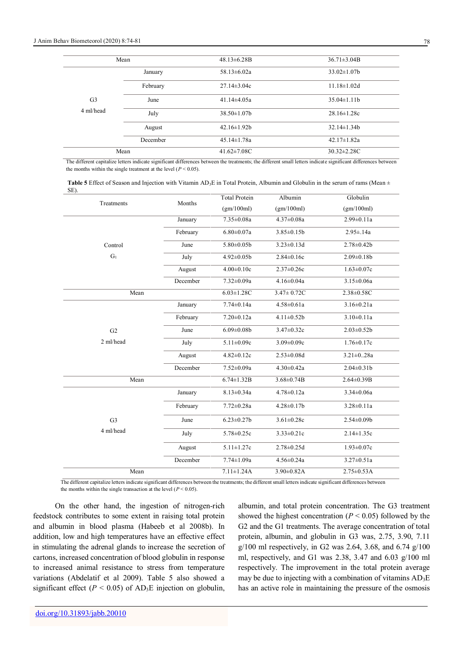|                | Mean     | $48.13\pm6.28B$    | $36.71 \pm 3.04B$  |
|----------------|----------|--------------------|--------------------|
|                | January  | $58.13 \pm 6.02a$  | $33.02 \pm 1.07$   |
|                | February | $27.14 \pm 3.04c$  | $11.18 \pm 1.02d$  |
| G <sub>3</sub> | June     | $41.14\pm4.05a$    | $35.04 \pm 1.11$   |
| 4 ml/head      | July     | $38.50 \pm 1.07$   | $28.16 \pm 1.28c$  |
|                | August   | $42.16 \pm 1.92b$  | $32.14 \pm 1.34 b$ |
|                | December | $45.14 \pm 1.78a$  | $42.17 \pm 1.82a$  |
|                | Mean     | $41.62 \pm 7.08$ C | $30.32 \pm 2.28$ C |

The different capitalize letters indicate significant differences between the treatments; the different small letters indicate significant differences between the months within the single treatment at the level  $(P \le 0.05)$ .

| <b>Table 5</b> Effect of Season and Injection with Vitamin AD <sub>3</sub> E in Total Protein, Albumin and Globulin in the serum of rams (Mean $\pm$ |  |  |
|------------------------------------------------------------------------------------------------------------------------------------------------------|--|--|
| SE).                                                                                                                                                 |  |  |

| .              |          | <b>Total Protein</b> | Albumin           | Globulin          |
|----------------|----------|----------------------|-------------------|-------------------|
| Treatments     | Months   | (gm/100ml)           | (gm/100ml)        | (gm/100ml)        |
|                | January  | $7.35 \pm 0.08a$     | $4.37 \pm 0.08a$  | $2.99 \pm 0.11a$  |
|                | February | $6.80 \pm 0.07a$     | $3.85 \pm 0.15b$  | $2.95 \pm .14a$   |
| Control        | June     | $5.80 \pm 0.05$      | $3.23 \pm 0.13d$  | $2.78 \pm 0.42b$  |
| $\mathrm{G}_1$ | July     | $4.92 \pm 0.05$      | $2.84 \pm 0.16c$  | $2.09 \pm 0.18$   |
|                | August   | $4.00 \pm 0.10c$     | $2.37 \pm 0.26c$  | $1.63 \pm 0.07c$  |
|                | December | 7.32±0.09a           | $4.16 \pm 0.04a$  | $3.15 \pm 0.06a$  |
| Mean           |          | $6.03 \pm 1.28$ C    | $3.47 \pm 0.72C$  | 2.38±0.58C        |
|                | January  | $7.74 \pm 0.14a$     | $4.58 \pm 0.61a$  | $3.16 \pm 0.21a$  |
|                | February | $7.20 \pm 0.12a$     | $4.11 \pm 0.52b$  | $3.10 \pm 0.11a$  |
| G <sub>2</sub> | June     | $6.09 \pm 0.08$      | $3.47 \pm 0.32c$  | $2.03 \pm 0.52b$  |
| 2 ml/head      | July     | $5.11 \pm 0.09c$     | $3.09 \pm 0.09c$  | $1.76 \pm 0.17c$  |
|                | August   | $4.82 \pm 0.12c$     | $2.53 \pm 0.08d$  | $3.21 \pm 0.28a$  |
|                | December | $7.52 \pm 0.09a$     | $4.30 \pm 0.42a$  | $2.04 \pm 0.31$   |
| Mean           |          | $6.74 \pm 1.32B$     | $3.68 \pm 0.74 B$ | $2.64 \pm 0.39 B$ |
|                | January  | $8.13 \pm 0.34a$     | $4.78 \pm 0.12a$  | $3.34 \pm 0.06a$  |
|                | February | $7.72 \pm 0.28a$     | $4.28 \pm 0.17$ b | $3.28 \pm 0.11a$  |
| G <sub>3</sub> | June     | $6.23 \pm 0.27$ b    | $3.61 \pm 0.28c$  | $2.54 \pm 0.09$   |
| 4 ml/head      | July     | 5.78±0.25c           | $3.33 \pm 0.21c$  | $2.14 \pm 1.35c$  |
|                | August   | $5.11 \pm 1.27c$     | $2.78 \pm 0.25d$  | $1.93 \pm 0.07c$  |
|                | December | $7.74 \pm 1.09a$     | $4.56 \pm 0.24a$  | $3.27 \pm 0.51a$  |
| Mean           |          | $7.11 \pm 1.24$ A    | $3.90 \pm 0.82$ A | $2.75 \pm 0.53$ A |

The different capitalize letters indicate significant differences between the treatments; the different small letters indicate significant differences between the months within the single transaction at the level  $(P < 0.05)$ .

On the other hand, the ingestion of nitrogen-rich feedstock contributes to some extent in raising total protein and albumin in blood plasma (Habeeb et al 2008b). In addition, low and high temperatures have an effective effect in stimulating the adrenal glands to increase the secretion of cartons, increased concentration of blood globulin in response to increased animal resistance to stress from temperature variations (Abdelatif et al 2009). Table 5 also showed a significant effect ( $P < 0.05$ ) of AD<sub>3</sub>E injection on globulin, albumin, and total protein concentration. The G3 treatment showed the highest concentration ( $P < 0.05$ ) followed by the G2 and the G1 treatments. The average concentration of total protein, albumin, and globulin in G3 was, 2.75, 3.90, 7.11 g/100 ml respectively, in G2 was 2.64, 3.68, and 6.74 g/100 ml, respectively, and G1 was 2.38, 3.47 and 6.03 g/100 ml respectively. The improvement in the total protein average may be due to injecting with a combination of vitamins  $AD_3E$ has an active role in maintaining the pressure of the osmosis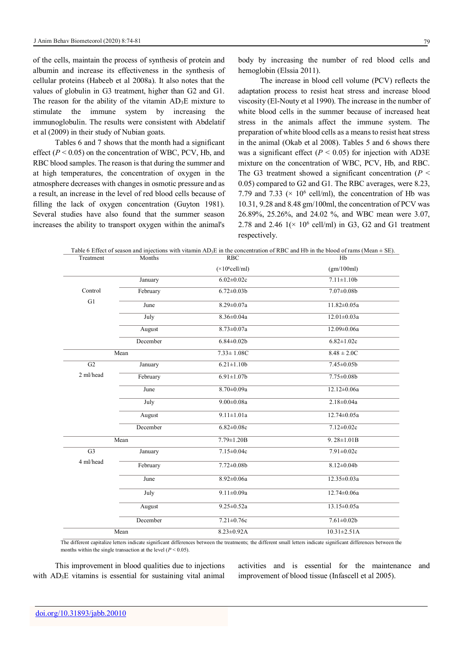of the cells, maintain the process of synthesis of protein and albumin and increase its effectiveness in the synthesis of cellular proteins (Habeeb et al 2008a). It also notes that the values of globulin in G3 treatment, higher than G2 and G1. The reason for the ability of the vitamin  $AD_3E$  mixture to stimulate the immune system by increasing the immunoglobulin. The results were consistent with Abdelatif et al (2009) in their study of Nubian goats.

Tables 6 and 7 shows that the month had a significant effect  $(P < 0.05)$  on the concentration of WBC, PCV, Hb, and RBC blood samples. The reason is that during the summer and at high temperatures, the concentration of oxygen in the atmosphere decreases with changes in osmotic pressure and as a result, an increase in the level of red blood cells because of filling the lack of oxygen concentration (Guyton 1981). Several studies have also found that the summer season increases the ability to transport oxygen within the animal's

body by increasing the number of red blood cells and hemoglobin (Elssia 2011).

The increase in blood cell volume (PCV) reflects the adaptation process to resist heat stress and increase blood viscosity (El-Nouty et al 1990). The increase in the number of white blood cells in the summer because of increased heat stress in the animals affect the immune system. The preparation of white blood cells as a means to resist heat stress in the animal (Okab et al 2008). Tables 5 and 6 shows there was a significant effect  $(P < 0.05)$  for injection with AD3E mixture on the concentration of WBC, PCV, Hb, and RBC. The G3 treatment showed a significant concentration ( $P \leq$ 0.05) compared to G2 and G1. The RBC averages, were 8.23, 7.79 and 7.33 ( $\times$  10<sup>6</sup> cell/ml), the concentration of Hb was 10.31, 9.28 and 8.48 gm/100ml, the concentration of PCV was 26.89%, 25.26%, and 24.02 %, and WBC mean were 3.07, 2.78 and 2.46  $1(x 10^6 \text{ cell/ml})$  in G3, G2 and G1 treatment respectively.

| Treatment      | Months   | <b>RBC</b>              | Table 6 Effect of season and injections with vitamin $AD_3E$ in the concentration of RBC and Hb in the blood of rams (Mean $\pm$ SE).<br>Hh |
|----------------|----------|-------------------------|---------------------------------------------------------------------------------------------------------------------------------------------|
|                |          | $(\times 10^6$ cell/ml) | (gm/100ml)                                                                                                                                  |
|                | January  | $6.02 \pm 0.02c$        | $7.11 \pm 1.10b$                                                                                                                            |
| Control        | February | $6.72 \pm 0.03b$        | $7.07 \pm 0.08$                                                                                                                             |
| G1             | June     | $8.29 \pm 0.07a$        | $11.82 \pm 0.05a$                                                                                                                           |
|                | July     | $8.36 \pm 0.04a$        | $12.01 \pm 0.03a$                                                                                                                           |
|                | August   | $8.73 \pm 0.07a$        | $12.09 \pm 0.06a$                                                                                                                           |
|                | December | $6.84 \pm 0.02b$        | $6.82 \pm 1.02c$                                                                                                                            |
|                | Mean     | $7.33 \pm 1.08C$        | $8.48 \pm 2.0C$                                                                                                                             |
| G2             | January  | $6.21 \pm 1.10b$        | $7.45 \pm 0.05$                                                                                                                             |
| 2 ml/head      | February | $6.91 \pm 1.07$         | $7.75 \pm 0.08b$                                                                                                                            |
|                | June     | 8.70±0.09a              | $12.12 \pm 0.06a$                                                                                                                           |
|                | July     | $9.00 \pm 0.08a$        | $2.18 \pm 0.04a$                                                                                                                            |
|                | August   | $9.11 \pm 1.01a$        | $12.74 \pm 0.05a$                                                                                                                           |
|                | December | $6.82 \pm 0.08c$        | $7.12 \pm 0.02c$                                                                                                                            |
|                | Mean     | $7.79 \pm 1.20 B$       | $9.28 \pm 1.01B$                                                                                                                            |
| G <sub>3</sub> | January  | $7.15 \pm 0.04c$        | $7.91 \pm 0.02c$                                                                                                                            |
| 4 ml/head      | February | $7.72 \pm 0.08b$        | $8.12 \pm 0.04b$                                                                                                                            |
|                | June     | 8.92±0.06a              | 12.35±0.03a                                                                                                                                 |
|                | July     | $9.11 \pm 0.09a$        | $12.74 \pm 0.06a$                                                                                                                           |
|                | August   | $9.25 \pm 0.52a$        | $13.15 \pm 0.05a$                                                                                                                           |
|                | December | $7.21 \pm 0.76c$        | $7.61 \pm 0.02b$                                                                                                                            |
|                | Mean     | $8.23 \pm 0.92$ A       | $10.31 \pm 2.51$ A                                                                                                                          |

The different capitalize letters indicate significant differences between the treatments; the different small letters indicate significant differences between the months within the single transaction at the level  $(P < 0.05)$ .

This improvement in blood qualities due to injections with AD<sub>3</sub>E vitamins is essential for sustaining vital animal activities and is essential for the maintenance and improvement of blood tissue (Infascell et al 2005).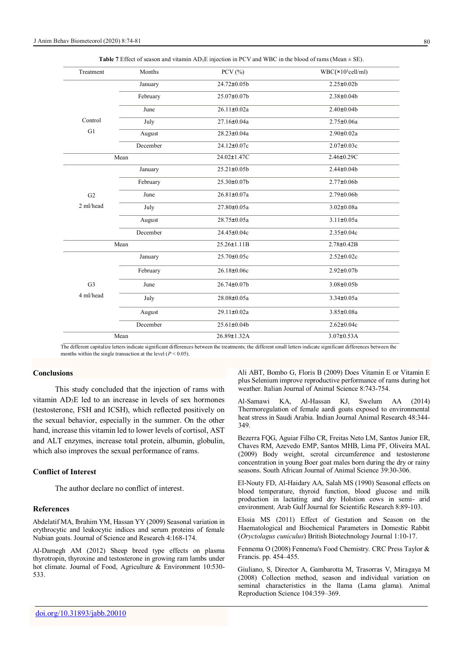| Treatment      | Months   | PCV $(%$          | $WBC(\times 10^3$ cell/ml) |
|----------------|----------|-------------------|----------------------------|
|                | January  | 24.72±0.05b       | $2.25 \pm 0.02b$           |
|                | February | 25.07±0.07b       | $2.38 \pm 0.04 b$          |
|                | June     | $26.11 \pm 0.02a$ | $2.40 \pm 0.04$            |
| Control        | July     | 27.16±0.04a       | $2.75 \pm 0.06a$           |
| G1             | August   | 28.23±0.04a       | $2.90 \pm 0.02a$           |
|                | December | 24.12±0.07c       | $2.07 \pm 0.03c$           |
|                | Mean     | 24.02±1.47C       | 2.46±0.29C                 |
|                | January  | 25.21±0.05b       | $2.44 \pm 0.04 b$          |
|                | February | 25.30±0.07b       | $2.77 \pm 0.06 b$          |
| G <sub>2</sub> | June     | $26.81 \pm 0.07a$ | $2.79 \pm 0.06 b$          |
| 2 ml/head      | July     | 27.80±0.05a       | $3.02 \pm 0.08a$           |
|                | August   | 28.75±0.05a       | $3.11 \pm 0.05a$           |
|                | December | 24.45±0.04c       | $2.35 \pm 0.04c$           |
| Mean           |          | $25.26 \pm 1.11B$ | $2.78 \pm 0.42 B$          |
|                | January  | 25.70±0.05c       | $2.52 \pm 0.02c$           |
|                | February | 26.18±0.06c       | $2.92 \pm 0.07$ b          |
| G <sub>3</sub> | June     | 26.74±0.07b       | $3.08 \pm 0.05 b$          |
| 4 ml/head      | July     | 28.08±0.05a       | $3.34 \pm 0.05a$           |
|                | August   | $29.11 \pm 0.02a$ | 3.85±0.08a                 |
|                | December | $25.61 \pm 0.04$  | $2.62 \pm 0.04c$           |
| Mean           |          | 26.89±1.32A       | $3.07 \pm 0.53$ A          |

**Table 7** Effect of season and vitamin AD<sub>3</sub>E injection in PCV and WBC in the blood of rams (Mean  $\pm$  SE).

The different capitalize letters indicate significant differences between the treatments; the different small letters indicate significant differences between the months within the single transaction at the level  $(P < 0.05)$ .

# **Conclusions**

This study concluded that the injection of rams with vitamin AD3E led to an increase in levels of sex hormones (testosterone, FSH and ICSH), which reflected positively on the sexual behavior, especially in the summer. On the other hand, increase this vitamin led to lower levels of cortisol, AST and ALT enzymes, increase total protein, albumin, globulin, which also improves the sexual performance of rams.

## **Conflict of Interest**

The author declare no conflict of interest.

# **References**

Abdelatif MA, Ibrahim YM, Hassan YY (2009) Seasonal variation in erythrocytic and leukocytic indices and serum proteins of female Nubian goats. Journal of Science and Research 4:168-174.

Al-Damegh AM (2012) Sheep breed type effects on plasma thyrotropin, thyroxine and testosterone in growing ram lambs under hot climate. Journal of Food, Agriculture & Environment 10:530-533.

Ali ABT, Bombo G, Floris B (2009) Does Vitamin E or Vitamin E plus Selenium improve reproductive performance of rams during hot weather. Italian Journal of Animal Science 8:743-754.

Al-Samawi KA, Al-Hassan KJ, Swelum AA (2014) Thermoregulation of female aardi goats exposed to environmental heat stress in Saudi Arabia. Indian Journal Animal Research 48:344- 349.

Bezerra FQG, Aguiar Filho CR, Freitas Neto LM, Santos Junior ER, Chaves RM, Azevedo EMP, Santos MHB, Lima PF, Oliveira MAL (2009) Body weight, scrotal circumference and testosterone concentration in young Boer goat males born during the dry or rainy seasons. South African Journal of Animal Science 39:30-306.

El-Nouty FD, Al-Haidary AA, Salah MS (1990) Seasonal effects on blood temperature, thyroid function, blood glucose and milk production in lactating and dry Holstion cows in semi- arid environment. Arab Gulf Journal for Scientific Research 8:89-103.

Elssia MS (2011) Effect of Gestation and Season on the Haematological and Biochemical Parameters in Domestic Rabbit (*Oryctolagus cuniculus*) British Biotechnology Journal 1:10-17.

Fennema O (2008) Fennema's Food Chemistry. CRC Press Taylor & Francis. pp. 454–455.

Giuliano, S, Director A, Gambarotta M, Trasorras V, Miragaya M (2008) Collection method, season and individual variation on seminal characteristics in the llama (Lama glama). Animal Reproduction Science 104:359–369.